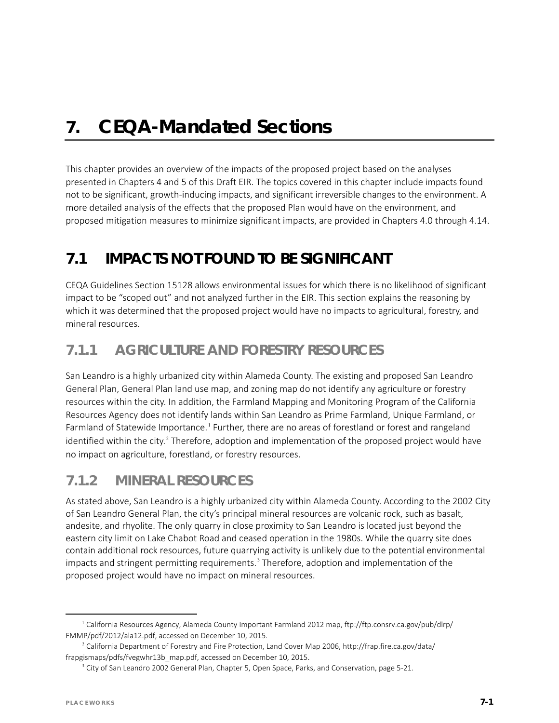# *7. CEQA-Mandated Sections*

This chapter provides an overview of the impacts of the proposed project based on the analyses presented in Chapters 4 and 5 of this Draft EIR. The topics covered in this chapter include impacts found not to be significant, growth-inducing impacts, and significant irreversible changes to the environment. A more detailed analysis of the effects that the proposed Plan would have on the environment, and proposed mitigation measures to minimize significant impacts, are provided in Chapters 4.0 through 4.14.

# **7.1 IMPACTS NOT FOUND TO BE SIGNIFICANT**

CEQA Guidelines Section 15128 allows environmental issues for which there is no likelihood of significant impact to be "scoped out" and not analyzed further in the EIR. This section explains the reasoning by which it was determined that the proposed project would have no impacts to agricultural, forestry, and mineral resources.

### **7.1.1 AGRICULTURE AND FORESTRY RESOURCES**

San Leandro is a highly urbanized city within Alameda County. The existing and proposed San Leandro General Plan, General Plan land use map, and zoning map do not identify any agriculture or forestry resources within the city. In addition, the Farmland Mapping and Monitoring Program of the California Resources Agency does not identify lands within San Leandro as Prime Farmland, Unique Farmland, or Farmland of Statewide Importance.<sup>[1](#page-0-0)</sup> Further, there are no areas of forestland or forest and rangeland identified within the city.<sup>[2](#page-0-1)</sup> Therefore, adoption and implementation of the proposed project would have no impact on agriculture, forestland, or forestry resources.

#### **7.1.2 MINERAL RESOURCES**

As stated above, San Leandro is a highly urbanized city within Alameda County. According to the 2002 City of San Leandro General Plan, the city's principal mineral resources are volcanic rock, such as basalt, andesite, and rhyolite. The only quarry in close proximity to San Leandro is located just beyond the eastern city limit on Lake Chabot Road and ceased operation in the 1980s. While the quarry site does contain additional rock resources, future quarrying activity is unlikely due to the potential environmental impacts and stringent permitting requirements.<sup>[3](#page-0-2)</sup> Therefore, adoption and implementation of the proposed project would have no impact on mineral resources.

 $\overline{a}$ 

<span id="page-0-0"></span><sup>1</sup> California Resources Agency, Alameda County Important Farmland 2012 map[, ftp://ftp.consrv.ca.gov/pub/dlrp/](ftp://ftp.consrv.ca.gov/pub/dlrp/FMMP/pdf/2012/ala12.pdf) [FMMP/pdf/2012/ala12.pdf,](ftp://ftp.consrv.ca.gov/pub/dlrp/FMMP/pdf/2012/ala12.pdf) accessed on December 10, 2015.

<span id="page-0-2"></span><span id="page-0-1"></span><sup>&</sup>lt;sup>2</sup> California Department of Forestry and Fire Protection, Land Cover Map 2006[, http://frap.fire.ca.gov/data/](http://frap.fire.ca.gov/data/frapgismaps/pdfs/fvegwhr13b_map.pdf) [frapgismaps/pdfs/fvegwhr13b\\_map.pdf,](http://frap.fire.ca.gov/data/frapgismaps/pdfs/fvegwhr13b_map.pdf) accessed on December 10, 2015.

 $3$  City of San Leandro 2002 General Plan, Chapter 5, Open Space, Parks, and Conservation, page 5-21.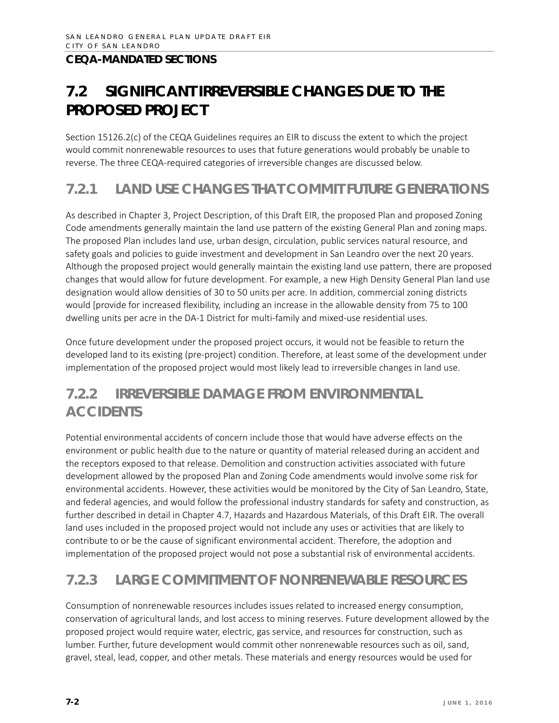#### **CEQA-MANDATED SECTIONS**

# **7.2 SIGNIFICANT IRREVERSIBLE CHANGES DUE TO THE PROPOSED PROJECT**

Section 15126.2(c) of the CEQA Guidelines requires an EIR to discuss the extent to which the project would commit nonrenewable resources to uses that future generations would probably be unable to reverse. The three CEQA-required categories of irreversible changes are discussed below.

### **7.2.1 LAND USE CHANGES THAT COMMIT FUTURE GENERATIONS**

As described in Chapter 3, Project Description, of this Draft EIR, the proposed Plan and proposed Zoning Code amendments generally maintain the land use pattern of the existing General Plan and zoning maps. The proposed Plan includes land use, urban design, circulation, public services natural resource, and safety goals and policies to guide investment and development in San Leandro over the next 20 years. Although the proposed project would generally maintain the existing land use pattern, there are proposed changes that would allow for future development. For example, a new High Density General Plan land use designation would allow densities of 30 to 50 units per acre. In addition, commercial zoning districts would [provide for increased flexibility, including an increase in the allowable density from 75 to 100 dwelling units per acre in the DA-1 District for multi-family and mixed-use residential uses.

Once future development under the proposed project occurs, it would not be feasible to return the developed land to its existing (pre-project) condition. Therefore, at least some of the development under implementation of the proposed project would most likely lead to irreversible changes in land use.

### **7.2.2 IRREVERSIBLE DAMAGE FROM ENVIRONMENTAL ACCIDENTS**

Potential environmental accidents of concern include those that would have adverse effects on the environment or public health due to the nature or quantity of material released during an accident and the receptors exposed to that release. Demolition and construction activities associated with future development allowed by the proposed Plan and Zoning Code amendments would involve some risk for environmental accidents. However, these activities would be monitored by the City of San Leandro, State, and federal agencies, and would follow the professional industry standards for safety and construction, as further described in detail in Chapter 4.7, Hazards and Hazardous Materials, of this Draft EIR. The overall land uses included in the proposed project would not include any uses or activities that are likely to contribute to or be the cause of significant environmental accident. Therefore, the adoption and implementation of the proposed project would not pose a substantial risk of environmental accidents.

#### **7.2.3 LARGE COMMITMENT OF NONRENEWABLE RESOURCES**

Consumption of nonrenewable resources includes issues related to increased energy consumption, conservation of agricultural lands, and lost access to mining reserves. Future development allowed by the proposed project would require water, electric, gas service, and resources for construction, such as lumber. Further, future development would commit other nonrenewable resources such as oil, sand, gravel, steal, lead, copper, and other metals. These materials and energy resources would be used for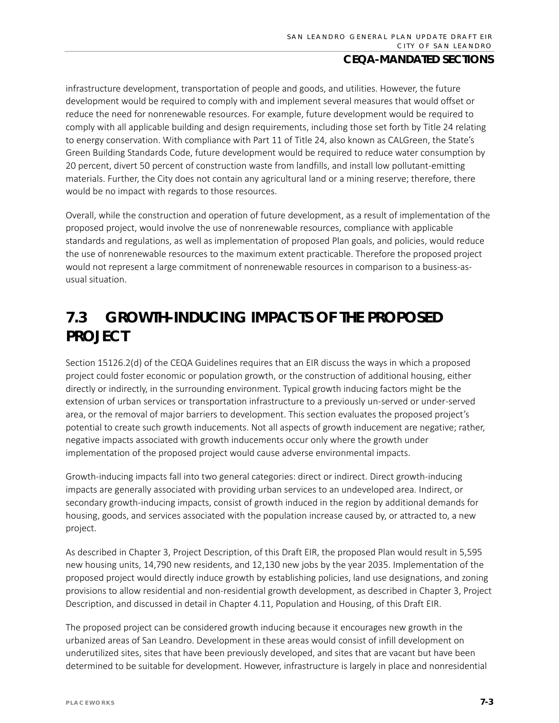#### **CEQA-MANDATED SECTIONS**

infrastructure development, transportation of people and goods, and utilities. However, the future development would be required to comply with and implement several measures that would offset or reduce the need for nonrenewable resources. For example, future development would be required to comply with all applicable building and design requirements, including those set forth by Title 24 relating to energy conservation. With compliance with Part 11 of Title 24, also known as CALGreen, the State's Green Building Standards Code, future development would be required to reduce water consumption by 20 percent, divert 50 percent of construction waste from landfills, and install low pollutant-emitting materials. Further, the City does not contain any agricultural land or a mining reserve; therefore, there would be no impact with regards to those resources.

Overall, while the construction and operation of future development, as a result of implementation of the proposed project, would involve the use of nonrenewable resources, compliance with applicable standards and regulations, as well as implementation of proposed Plan goals, and policies, would reduce the use of nonrenewable resources to the maximum extent practicable. Therefore the proposed project would not represent a large commitment of nonrenewable resources in comparison to a business-asusual situation.

## **7.3 GROWTH-INDUCING IMPACTS OF THE PROPOSED PROJECT**

Section 15126.2(d) of the CEQA Guidelines requires that an EIR discuss the ways in which a proposed project could foster economic or population growth, or the construction of additional housing, either directly or indirectly, in the surrounding environment. Typical growth inducing factors might be the extension of urban services or transportation infrastructure to a previously un-served or under-served area, or the removal of major barriers to development. This section evaluates the proposed project's potential to create such growth inducements. Not all aspects of growth inducement are negative; rather, negative impacts associated with growth inducements occur only where the growth under implementation of the proposed project would cause adverse environmental impacts.

Growth-inducing impacts fall into two general categories: direct or indirect. Direct growth-inducing impacts are generally associated with providing urban services to an undeveloped area. Indirect, or secondary growth-inducing impacts, consist of growth induced in the region by additional demands for housing, goods, and services associated with the population increase caused by, or attracted to, a new project.

As described in Chapter 3, Project Description, of this Draft EIR, the proposed Plan would result in 5,595 new housing units, 14,790 new residents, and 12,130 new jobs by the year 2035. Implementation of the proposed project would directly induce growth by establishing policies, land use designations, and zoning provisions to allow residential and non-residential growth development, as described in Chapter 3, Project Description, and discussed in detail in Chapter 4.11, Population and Housing, of this Draft EIR.

The proposed project can be considered growth inducing because it encourages new growth in the urbanized areas of San Leandro. Development in these areas would consist of infill development on underutilized sites, sites that have been previously developed, and sites that are vacant but have been determined to be suitable for development. However, infrastructure is largely in place and nonresidential